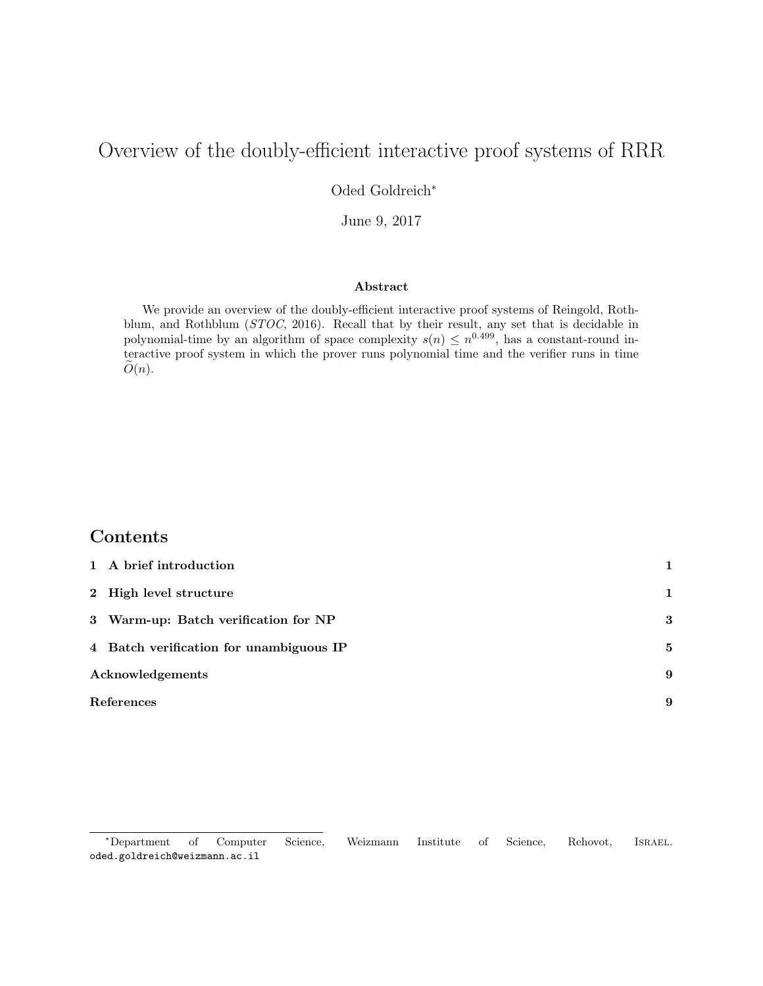# Overview of the doubly-efficient interactive proof systems of RRR

Oded Goldreich<sup>∗</sup>

June 9, 2017

#### Abstract

We provide an overview of the doubly-efficient interactive proof systems of Reingold, Rothblum, and Rothblum (STOC, 2016). Recall that by their result, any set that is decidable in polynomial-time by an algorithm of space complexity  $s(n) \leq n^{0.499}$ , has a constant-round interactive proof system in which the prover runs polynomial time and the verifier runs in time  $O(n)$ .

# Contents

| 1 A brief introduction                  |              |
|-----------------------------------------|--------------|
| 2 High level structure                  | 1            |
| 3 Warm-up: Batch verification for NP    | 3            |
| 4 Batch verification for unambiguous IP | $\mathbf{5}$ |
| Acknowledgements                        | 9            |
| References                              |              |

<sup>∗</sup>Department of Computer Science, Weizmann Institute of Science, Rehovot, Israel. oded.goldreich@weizmann.ac.il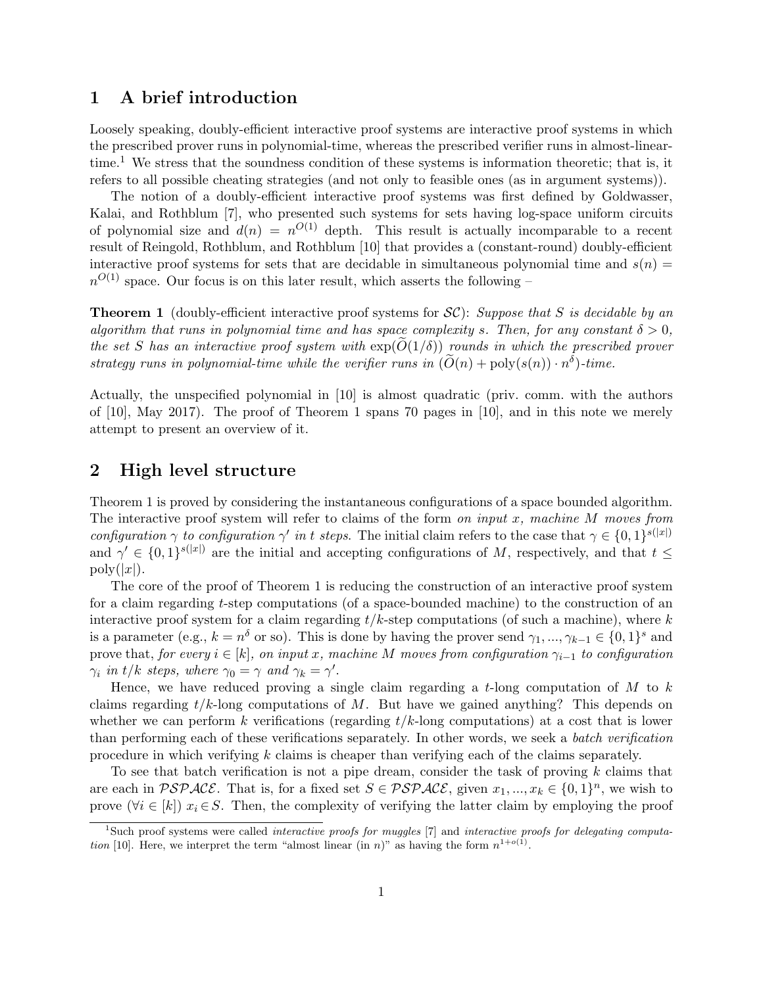### 1 A brief introduction

Loosely speaking, doubly-efficient interactive proof systems are interactive proof systems in which the prescribed prover runs in polynomial-time, whereas the prescribed verifier runs in almost-lineartime.<sup>1</sup> We stress that the soundness condition of these systems is information theoretic; that is, it refers to all possible cheating strategies (and not only to feasible ones (as in argument systems)).

The notion of a doubly-efficient interactive proof systems was first defined by Goldwasser, Kalai, and Rothblum [7], who presented such systems for sets having log-space uniform circuits of polynomial size and  $d(n) = n^{O(1)}$  depth. This result is actually incomparable to a recent result of Reingold, Rothblum, and Rothblum [10] that provides a (constant-round) doubly-efficient interactive proof systems for sets that are decidable in simultaneous polynomial time and  $s(n)$  $n^{O(1)}$  space. Our focus is on this later result, which asserts the following –

**Theorem 1** (doubly-efficient interactive proof systems for  $\mathcal{SC}$ ): Suppose that S is decidable by an algorithm that runs in polynomial time and has space complexity s. Then, for any constant  $\delta > 0$ , the set S has an interactive proof system with  $exp(O(1/\delta))$  rounds in which the prescribed prover strategy runs in polynomial-time while the verifier runs in  $(\widetilde{O}(n) + \text{poly}(s(n)) \cdot n^{\delta})$ -time.

Actually, the unspecified polynomial in [10] is almost quadratic (priv. comm. with the authors of [10], May 2017). The proof of Theorem 1 spans 70 pages in [10], and in this note we merely attempt to present an overview of it.

### 2 High level structure

Theorem 1 is proved by considering the instantaneous configurations of a space bounded algorithm. The interactive proof system will refer to claims of the form on input  $x$ , machine  $M$  moves from configuration  $\gamma$  to configuration  $\gamma'$  in t steps. The initial claim refers to the case that  $\gamma \in \{0,1\}^{s(|x|)}$ and  $\gamma' \in \{0,1\}^{s(|x|)}$  are the initial and accepting configurations of M, respectively, and that  $t \leq$  $\text{poly}(|x|)$ .

The core of the proof of Theorem 1 is reducing the construction of an interactive proof system for a claim regarding t-step computations (of a space-bounded machine) to the construction of an interactive proof system for a claim regarding  $t/k$ -step computations (of such a machine), where k is a parameter (e.g.,  $k = n^{\delta}$  or so). This is done by having the prover send  $\gamma_1, ..., \gamma_{k-1} \in \{0, 1\}^s$  and prove that, for every  $i \in [k]$ , on input x, machine M moves from configuration  $\gamma_{i-1}$  to configuration  $\gamma_i$  in t/k steps, where  $\gamma_0 = \gamma$  and  $\gamma_k = \gamma'$ .

Hence, we have reduced proving a single claim regarding a  $t$ -long computation of  $M$  to  $k$ claims regarding  $t/k$ -long computations of M. But have we gained anything? This depends on whether we can perform k verifications (regarding  $t/k$ -long computations) at a cost that is lower than performing each of these verifications separately. In other words, we seek a batch verification procedure in which verifying k claims is cheaper than verifying each of the claims separately.

To see that batch verification is not a pipe dream, consider the task of proving  $k$  claims that are each in  $\mathcal{PSPACE}$ . That is, for a fixed set  $S \in \mathcal{PSPACE}$ , given  $x_1, ..., x_k \in \{0, 1\}^n$ , we wish to prove  $(\forall i \in [k])$   $x_i \in S$ . Then, the complexity of verifying the latter claim by employing the proof

<sup>&</sup>lt;sup>1</sup>Such proof systems were called *interactive proofs for muggles* [7] and *interactive proofs for delegating computa*tion [10]. Here, we interpret the term "almost linear (in n)" as having the form  $n^{1+o(1)}$ .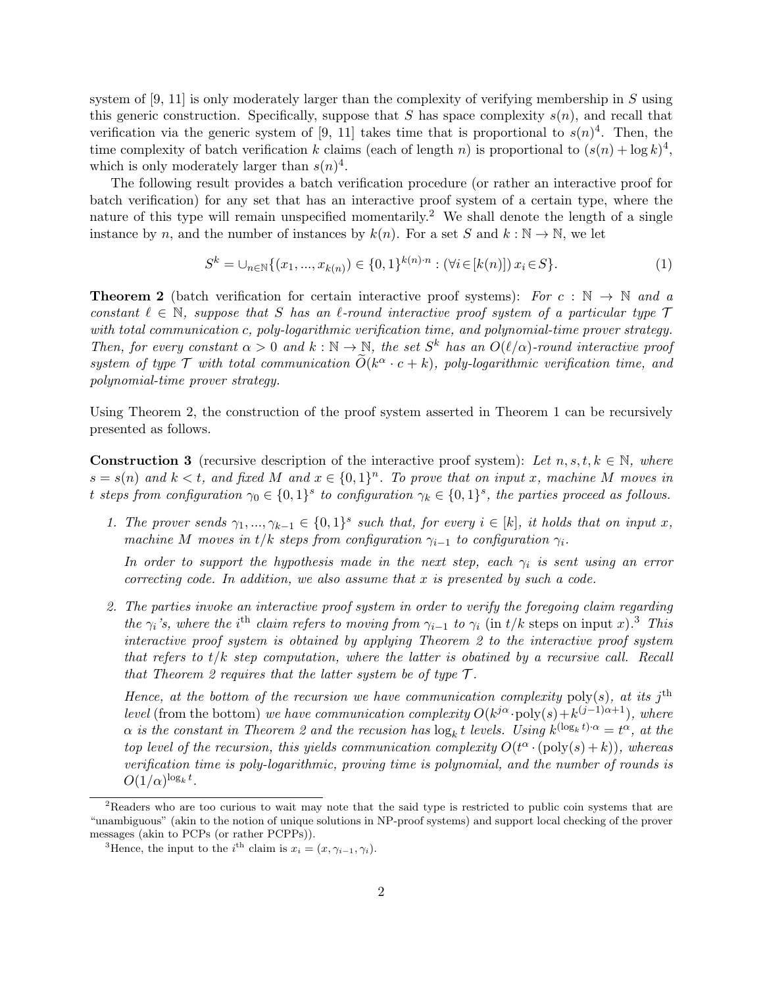system of  $[9, 11]$  is only moderately larger than the complexity of verifying membership in S using this generic construction. Specifically, suppose that S has space complexity  $s(n)$ , and recall that verification via the generic system of [9, 11] takes time that is proportional to  $s(n)^4$ . Then, the time complexity of batch verification k claims (each of length n) is proportional to  $(s(n) + \log k)^4$ , which is only moderately larger than  $s(n)^4$ .

The following result provides a batch verification procedure (or rather an interactive proof for batch verification) for any set that has an interactive proof system of a certain type, where the nature of this type will remain unspecified momentarily.<sup>2</sup> We shall denote the length of a single instance by n, and the number of instances by  $k(n)$ . For a set S and  $k : \mathbb{N} \to \mathbb{N}$ , we let

$$
S^{k} = \bigcup_{n \in \mathbb{N}} \{ (x_1, ..., x_{k(n)}) \in \{0, 1\}^{k(n) \cdot n} : (\forall i \in [k(n)]) \ x_i \in S \}. \tag{1}
$$

**Theorem 2** (batch verification for certain interactive proof systems): For  $c : \mathbb{N} \to \mathbb{N}$  and a constant  $\ell \in \mathbb{N}$ , suppose that S has an  $\ell$ -round interactive proof system of a particular type  $\mathcal T$ with total communication c, poly-logarithmic verification time, and polynomial-time prover strategy. Then, for every constant  $\alpha > 0$  and  $k : \mathbb{N} \to \mathbb{N}$ , the set  $S^k$  has an  $O(\ell/\alpha)$ -round interactive proof system of type  $\mathcal T$  with total communication  $\widetilde{O}(k^{\alpha} \cdot c + k)$ , poly-logarithmic verification time, and polynomial-time prover strategy.

Using Theorem 2, the construction of the proof system asserted in Theorem 1 can be recursively presented as follows.

**Construction 3** (recursive description of the interactive proof system): Let  $n, s, t, k \in \mathbb{N}$ , where  $s = s(n)$  and  $k < t$ , and fixed M and  $x \in \{0,1\}^n$ . To prove that on input x, machine M moves in t steps from configuration  $\gamma_0 \in \{0,1\}^s$  to configuration  $\gamma_k \in \{0,1\}^s$ , the parties proceed as follows.

1. The prover sends  $\gamma_1, ..., \gamma_{k-1} \in \{0,1\}^s$  such that, for every  $i \in [k]$ , it holds that on input x, machine M moves in t/k steps from configuration  $\gamma_{i-1}$  to configuration  $\gamma_i$ .

In order to support the hypothesis made in the next step, each  $\gamma_i$  is sent using an error correcting code. In addition, we also assume that  $x$  is presented by such a code.

2. The parties invoke an interactive proof system in order to verify the foregoing claim regarding the  $\gamma_i$ 's, where the i<sup>th</sup> claim refers to moving from  $\gamma_{i-1}$  to  $\gamma_i$  (in t/k steps on input x).<sup>3</sup> This interactive proof system is obtained by applying Theorem 2 to the interactive proof system that refers to  $t/k$  step computation, where the latter is obatined by a recursive call. Recall that Theorem 2 requires that the latter system be of type  $\mathcal{T}$ .

Hence, at the bottom of the recursion we have communication complexity poly(s), at its j<sup>th</sup> level (from the bottom) we have communication complexity  $O(k^{j\alpha} \cdot \text{poly}(s) + k^{(j-1)\alpha+1})$ , where  $\alpha$  is the constant in Theorem 2 and the recusion has  $\log_k t$  levels. Using  $k^{(\log_k t)\cdot \alpha} = t^{\alpha}$ , at the top level of the recursion, this yields communication complexity  $O(t^{\alpha} \cdot (poly(s) + k))$ , whereas verification time is poly-logarithmic, proving time is polynomial, and the number of rounds is  $O(1/\alpha)^{\log_k t}$ .

<sup>&</sup>lt;sup>2</sup>Readers who are too curious to wait may note that the said type is restricted to public coin systems that are "unambiguous" (akin to the notion of unique solutions in NP-proof systems) and support local checking of the prover messages (akin to PCPs (or rather PCPPs)).

<sup>&</sup>lt;sup>3</sup>Hence, the input to the *i*<sup>th</sup> claim is  $x_i = (x, \gamma_{i-1}, \gamma_i)$ .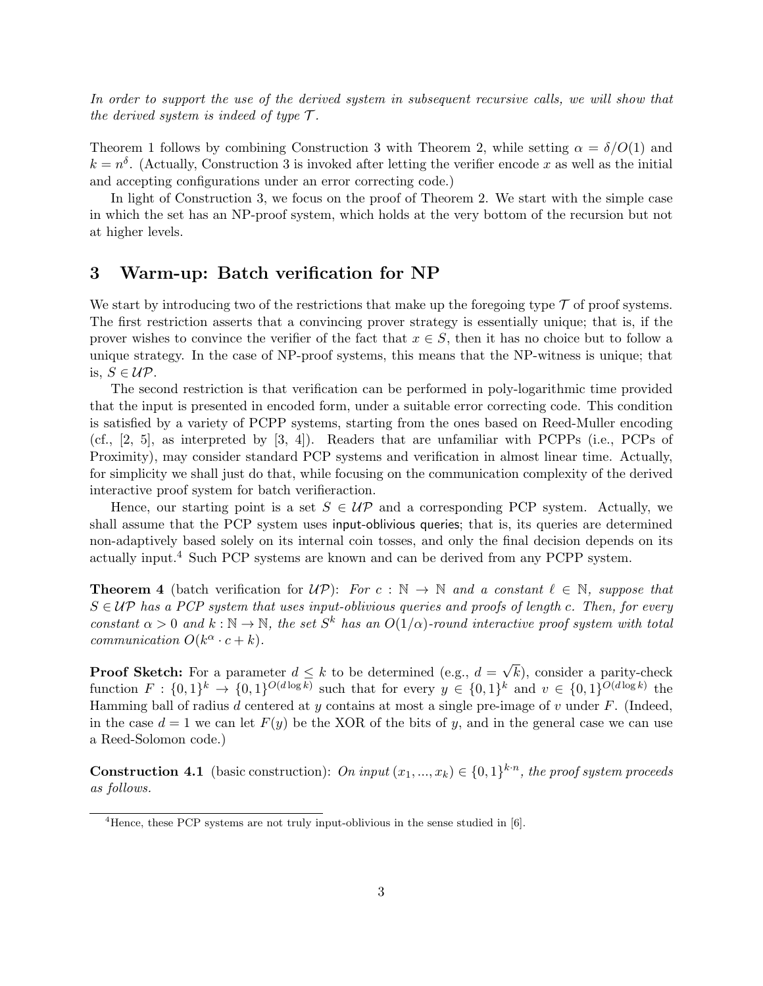In order to support the use of the derived system in subsequent recursive calls, we will show that the derived system is indeed of type  $\mathcal{T}$ .

Theorem 1 follows by combining Construction 3 with Theorem 2, while setting  $\alpha = \delta/O(1)$  and  $k = n<sup>δ</sup>$ . (Actually, Construction 3 is invoked after letting the verifier encode x as well as the initial and accepting configurations under an error correcting code.)

In light of Construction 3, we focus on the proof of Theorem 2. We start with the simple case in which the set has an NP-proof system, which holds at the very bottom of the recursion but not at higher levels.

#### 3 Warm-up: Batch verification for NP

We start by introducing two of the restrictions that make up the foregoing type  $\mathcal T$  of proof systems. The first restriction asserts that a convincing prover strategy is essentially unique; that is, if the prover wishes to convince the verifier of the fact that  $x \in S$ , then it has no choice but to follow a unique strategy. In the case of NP-proof systems, this means that the NP-witness is unique; that is,  $S \in \mathcal{UP}$ .

The second restriction is that verification can be performed in poly-logarithmic time provided that the input is presented in encoded form, under a suitable error correcting code. This condition is satisfied by a variety of PCPP systems, starting from the ones based on Reed-Muller encoding (cf., [2, 5], as interpreted by [3, 4]). Readers that are unfamiliar with PCPPs (i.e., PCPs of Proximity), may consider standard PCP systems and verification in almost linear time. Actually, for simplicity we shall just do that, while focusing on the communication complexity of the derived interactive proof system for batch verifieraction.

Hence, our starting point is a set  $S \in UP$  and a corresponding PCP system. Actually, we shall assume that the PCP system uses input-oblivious queries; that is, its queries are determined non-adaptively based solely on its internal coin tosses, and only the final decision depends on its actually input.<sup>4</sup> Such PCP systems are known and can be derived from any PCPP system.

**Theorem 4** (batch verification for  $\mathcal{UP}$ ): For  $c : \mathbb{N} \to \mathbb{N}$  and a constant  $\ell \in \mathbb{N}$ , suppose that  $S \in UP$  has a PCP system that uses input-oblivious queries and proofs of length c. Then, for every constant  $\alpha > 0$  and  $k : \mathbb{N} \to \mathbb{N}$ , the set  $S^k$  has an  $O(1/\alpha)$ -round interactive proof system with total communication  $O(k^{\alpha} \cdot c + k)$ .

**Proof Sketch:** For a parameter  $d \leq k$  to be determined (e.g.,  $d =$ √  $(k)$ , consider a parity-check function  $F: \{0,1\}^k \to \{0,1\}^{O(d \log k)}$  such that for every  $y \in \{0,1\}^k$  and  $v \in \{0,1\}^{O(d \log k)}$  the Hamming ball of radius d centered at y contains at most a single pre-image of v under  $F$ . (Indeed, in the case  $d = 1$  we can let  $F(y)$  be the XOR of the bits of y, and in the general case we can use a Reed-Solomon code.)

**Construction 4.1** (basic construction): On input  $(x_1, ..., x_k) \in \{0, 1\}^{k \cdot n}$ , the proof system proceeds as follows.

 $4$ Hence, these PCP systems are not truly input-oblivious in the sense studied in  $[6]$ .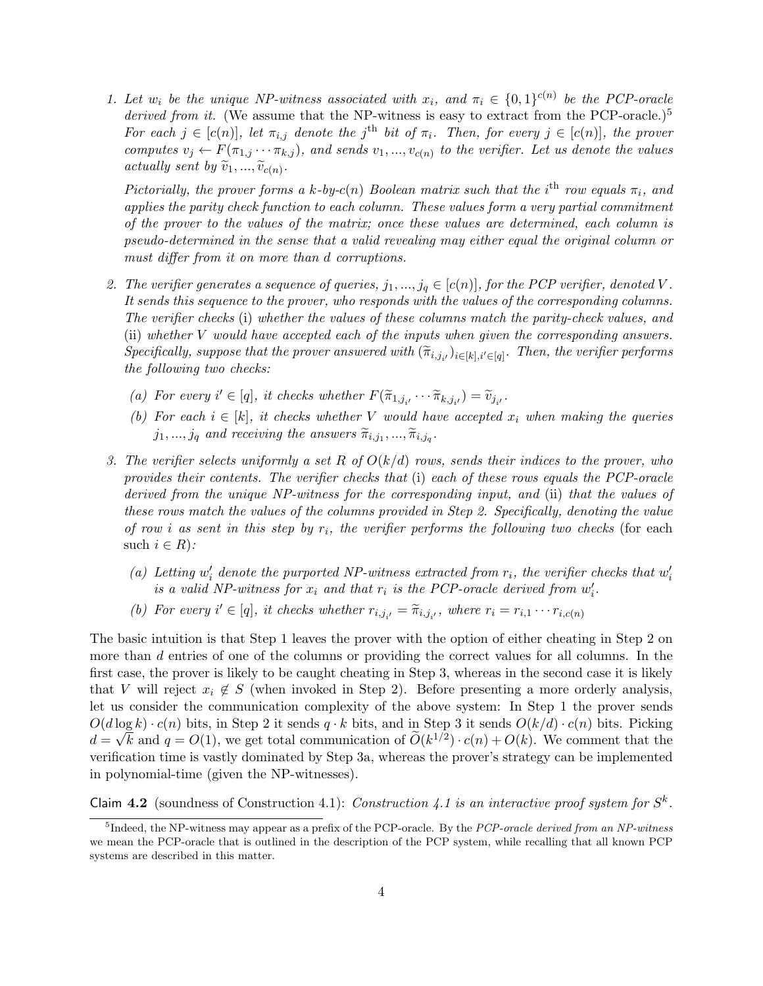1. Let  $w_i$  be the unique NP-witness associated with  $x_i$ , and  $\pi_i \in \{0,1\}^{c(n)}$  be the PCP-oracle derived from it. (We assume that the NP-witness is easy to extract from the PCP-oracle.)<sup>5</sup> For each  $j \in [c(n)]$ , let  $\pi_{i,j}$  denote the j<sup>th</sup> bit of  $\pi_i$ . Then, for every  $j \in [c(n)]$ , the prover computes  $v_j \leftarrow F(\pi_{1,j} \cdots \pi_{k,j})$ , and sends  $v_1, ..., v_{c(n)}$  to the verifier. Let us denote the values actually sent by  $\widetilde{v}_1, ..., \widetilde{v}_{c(n)}$ .

Pictorially, the prover forms a k-by-c(n) Boolean matrix such that the i<sup>th</sup> row equals  $\pi_i$ , and applies the parity check function to each column. These values form a very partial commitment of the prover to the values of the matrix; once these values are determined, each column is pseudo-determined in the sense that a valid revealing may either equal the original column or must differ from it on more than d corruptions.

- 2. The verifier generates a sequence of queries,  $j_1, ..., j_q \in [c(n)]$ , for the PCP verifier, denoted V. It sends this sequence to the prover, who responds with the values of the corresponding columns. The verifier checks (i) whether the values of these columns match the parity-check values, and (ii) whether V would have accepted each of the inputs when given the corresponding answers.  $Specifically, suppose that the prover answered with  $(\tilde{\pi}_{i,j_{i'}})_{i \in [k], i' \in [q]}$ . Then, the verifier performs the following two checks:$ the following two checks:
	- (a) For every  $i' \in [q]$ , it checks whether  $F(\tilde{\pi}_{1,j_{i'}} \cdots \tilde{\pi}_{k,j_{i'}}) = \tilde{v}_{j_{i'}}$ .
	- (b) For each  $i \in [k]$ , it checks whether V would have accepted  $x_i$  when making the queries  $j_1, ..., j_q$  and receiving the answers  $\widetilde{\pi}_{i,j_1}, ..., \widetilde{\pi}_{i,j_q}$ .
- 3. The verifier selects uniformly a set R of  $O(k/d)$  rows, sends their indices to the prover, who provides their contents. The verifier checks that (i) each of these rows equals the PCP-oracle derived from the unique NP-witness for the corresponding input, and (ii) that the values of these rows match the values of the columns provided in Step 2. Specifically, denoting the value of row i as sent in this step by  $r_i$ , the verifier performs the following two checks (for each such  $i \in R$ :
	- (a) Letting  $w'_i$  denote the purported NP-witness extracted from  $r_i$ , the verifier checks that  $w'_i$ is a valid NP-witness for  $x_i$  and that  $r_i$  is the PCP-oracle derived from  $w'_i$ .
	- (b) For every  $i' \in [q]$ , it checks whether  $r_{i,j_{i'}} = \tilde{\pi}_{i,j_{i'}}$ , where  $r_i = r_{i,1} \cdots r_{i,c(n)}$

The basic intuition is that Step 1 leaves the prover with the option of either cheating in Step 2 on more than d entries of one of the columns or providing the correct values for all columns. In the first case, the prover is likely to be caught cheating in Step 3, whereas in the second case it is likely that V will reject  $x_i \notin S$  (when invoked in Step 2). Before presenting a more orderly analysis, let us consider the communication complexity of the above system: In Step 1 the prover sends  $O(d \log k) \cdot c(n)$  bits, in Step 2 it sends  $q \cdot k$  bits, and in Step 3 it sends  $O(k/d) \cdot c(n)$  bits. Picking  $d = \sqrt{k}$  and  $q = O(1)$ , we get total communication of  $\widetilde{O}(k^{1/2}) \cdot c(n) + O(k)$ . We comment that the verification time is vastly dominated by Step 3a, whereas the prover's strategy can be implemented in polynomial-time (given the NP-witnesses).

Claim 4.2 (soundness of Construction 4.1): Construction 4.1 is an interactive proof system for  $S^k$ .

<sup>&</sup>lt;sup>5</sup>Indeed, the NP-witness may appear as a prefix of the PCP-oracle. By the *PCP-oracle derived from an NP-witness* we mean the PCP-oracle that is outlined in the description of the PCP system, while recalling that all known PCP systems are described in this matter.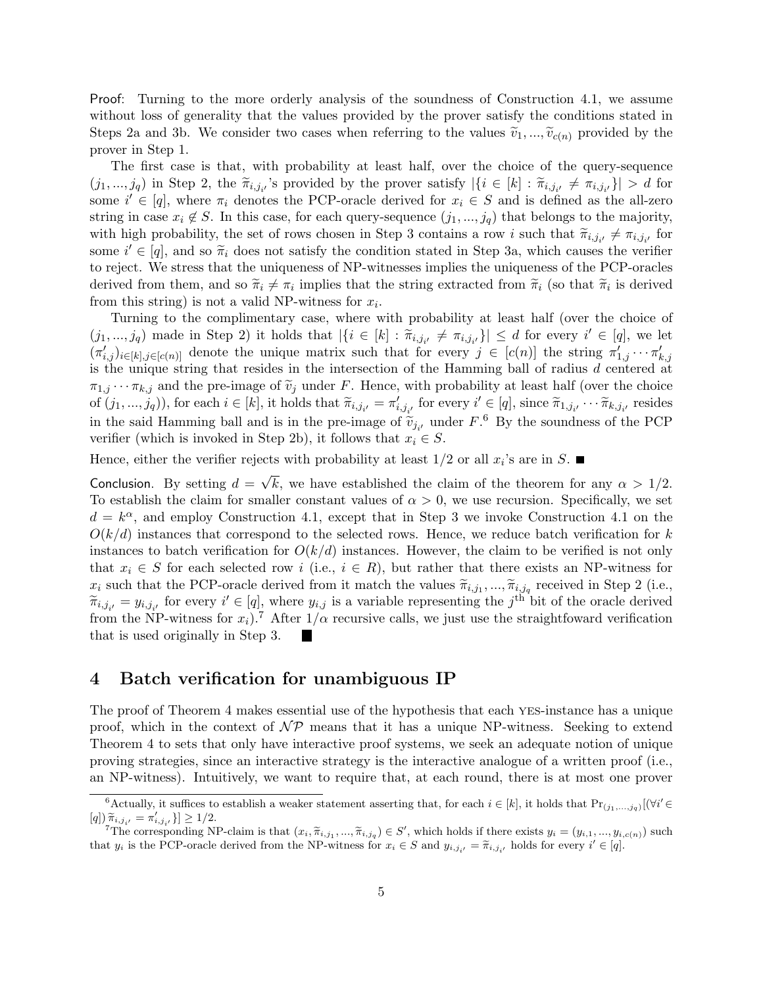Proof: Turning to the more orderly analysis of the soundness of Construction 4.1, we assume without loss of generality that the values provided by the prover satisfy the conditions stated in Steps 2a and 3b. We consider two cases when referring to the values  $\tilde{v}_1, ..., \tilde{v}_{c(n)}$  provided by the prover in Step 1.

The first case is that, with probability at least half, over the choice of the query-sequence  $(j_1, ..., j_q)$  in Step 2, the  $\tilde{\pi}_{i,j_i}$ 's provided by the prover satisfy  $|\{i \in [k] : \tilde{\pi}_{i,j_i} \neq \pi_{i,j_i}\}| > d$  for  $\text{some } i' \in [s]$ , where  $\pi$ , denotes the PCP crosle derived for  $x_i \in S$  and is defined as the all zero some  $i' \in [q]$ , where  $\pi_i$  denotes the PCP-oracle derived for  $x_i \in S$  and is defined as the all-zero string in case  $x_i \notin S$ . In this case, for each query-sequence  $(j_1, ..., j_q)$  that belongs to the majority, with high probability, the set of rows chosen in Step 3 contains a row i such that  $\tilde{\pi}_{i,j_{i'}} \neq \pi_{i,j_{i'}}$  for some  $i' \in [q]$ , and so  $\widetilde{\pi}_i$  does not satisfy the condition stated in Step 3a, which causes the verifier<br>to reject. We stress that the uniqueness of NB witnesses inplies the uniqueness of the BCB engles to reject. We stress that the uniqueness of NP-witnesses implies the uniqueness of the PCP-oracles derived from them, and so  $\tilde{\pi}_i \neq \pi_i$  implies that the string extracted from  $\tilde{\pi}_i$  (so that  $\tilde{\pi}_i$  is derived from this string) is not a valid ND witness for  $\pi$ . from this string) is not a valid NP-witness for  $x_i$ .

Turning to the complimentary case, where with probability at least half (over the choice of  $(j_1, ..., j_q)$  made in Step 2) it holds that  $|\{i \in [k] : \tilde{\pi}_{i,j_{i'}} \neq \pi_{i,j_{i'}}\}| \leq d$  for every  $i' \in [q]$ , we let  $(\pi'_{i,j})_{i\in[k],j\in[c(n)]}$  denote the unique matrix such that for every  $j\in[c(n)]$  the string  $\pi'_{1,j}\cdots\pi'_{k,j}$ is the unique string that resides in the intersection of the Hamming ball of radius d centered at  $\pi_{1,j} \cdots \pi_{k,j}$  and the pre-image of  $\tilde{v}_j$  under F. Hence, with probability at least half (over the choice of  $(j_1, ..., j_q)$ , for each  $i \in [k]$ , it holds that  $\widetilde{\pi}_{i,j_{i'}} = \pi'_{i,j_{i'}}$  for every  $i' \in [q]$ , since  $\widetilde{\pi}_{1,j_{i'}} \cdots \widetilde{\pi}_{k,j_{i'}}$  resides in the said Hamming ball and is in the pre-image of  $\tilde{v}_{j_i}$ , under  $F$ .<sup>6</sup> By the soundness of the PCP unifor (which is involved in Step 2b) it follows that  $x_i \in S$ verifier (which is invoked in Step 2b), it follows that  $x_i \in S$ .

Hence, either the verifier rejects with probability at least  $1/2$  or all  $x_i$ 's are in S.

Conclusion. By setting  $d =$ √ k, we have established the claim of the theorem for any  $\alpha > 1/2$ . To establish the claim for smaller constant values of  $\alpha > 0$ , we use recursion. Specifically, we set  $d = k^{\alpha}$ , and employ Construction 4.1, except that in Step 3 we invoke Construction 4.1 on the  $O(k/d)$  instances that correspond to the selected rows. Hence, we reduce batch verification for k instances to batch verification for  $O(k/d)$  instances. However, the claim to be verified is not only that  $x_i \in S$  for each selected row i (i.e.,  $i \in R$ ), but rather that there exists an NP-witness for  $x_i$  such that the PCP-oracle derived from it match the values  $\tilde{\pi}_{i,j_1},...,\tilde{\pi}_{i,j_q}$  received in Step 2 (i.e.,  $\tilde{\pi}_{i,j_1}$ ,  $\ldots$ ,  $\tilde{\pi}_{i,j_q}$ ,  $\ldots$ ,  $\tilde{\pi}_{i,q}$  for every  $i' \in [q]$ , where  $u_i$ , is a variable repre  $\widetilde{\pi}_{i,j_{i'}} = y_{i,j_{i'}}$  for every  $i' \in [q]$ , where  $y_{i,j}$  is a variable representing the j<sup>th</sup> bit of the oracle derived<br>from the NP witness for  $x_i$ ).<sup>7</sup> After 1/e requisive salls, we just use the straightfound verificat from the NP-witness for  $x_i$ ).<sup>7</sup> After  $1/\alpha$  recursive calls, we just use the straightfoward verification that is used originally in Step 3.

#### 4 Batch verification for unambiguous IP

The proof of Theorem 4 makes essential use of the hypothesis that each yes-instance has a unique proof, which in the context of  $\mathcal{NP}$  means that it has a unique NP-witness. Seeking to extend Theorem 4 to sets that only have interactive proof systems, we seek an adequate notion of unique proving strategies, since an interactive strategy is the interactive analogue of a written proof (i.e., an NP-witness). Intuitively, we want to require that, at each round, there is at most one prover

<sup>&</sup>lt;sup>6</sup>Actually, it suffices to establish a weaker statement asserting that, for each  $i \in [k]$ , it holds that  $Pr_{(j_1,...,j_q)}[(\forall i' \in [k]$  $[q]) \widetilde{\pi}_{i,j_{i'}} = \pi'_{i,j_{i'}} \} \geq 1/2.$ <br>  $7 \text{The common solution } \Sigma$ 

The corresponding NP-claim is that  $(x_i, \tilde{\pi}_{i,j_1}, ..., \tilde{\pi}_{i,j_q}) \in S'$ , which holds if there exists  $y_i = (y_{i,1}, ..., y_{i,c(n)})$  such<br>t su is the PCB exacts derived from the NB witness for  $x_i \in S$  and  $y_i$ ,  $y_i = \tilde{x}_i$ , holds for grow that  $y_i$  is the PCP-oracle derived from the NP-witness for  $x_i \in S$  and  $y_{i,j_{i'}} = \tilde{\pi}_{i,j_{i'}}$  holds for every  $i' \in [q]$ .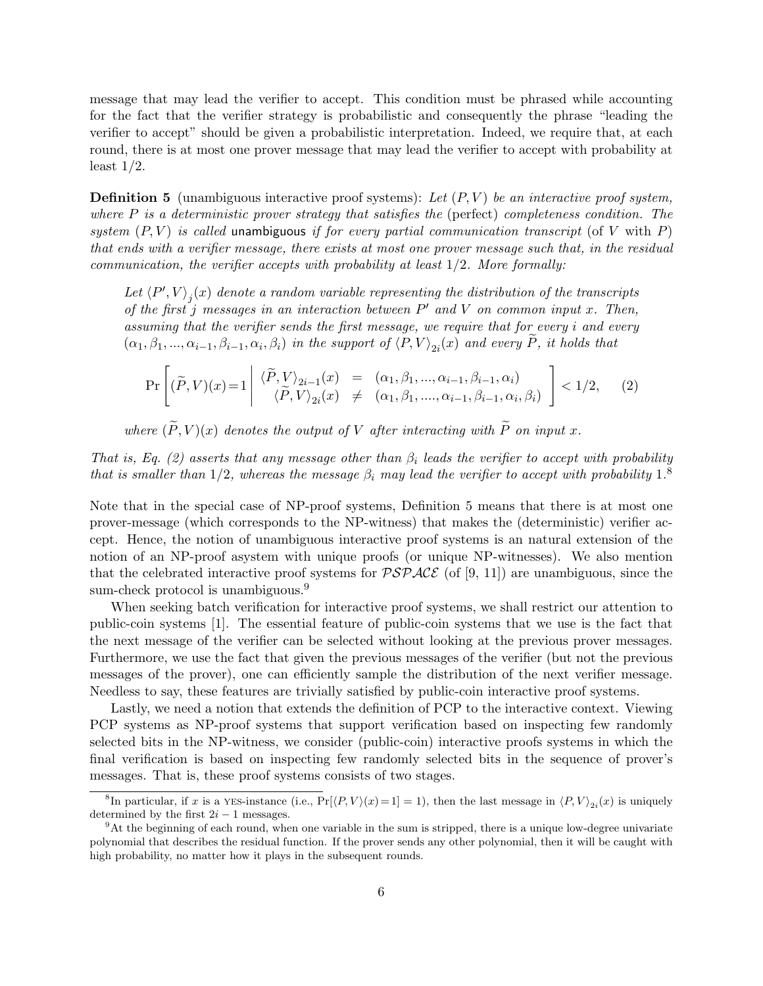message that may lead the verifier to accept. This condition must be phrased while accounting for the fact that the verifier strategy is probabilistic and consequently the phrase "leading the verifier to accept" should be given a probabilistic interpretation. Indeed, we require that, at each round, there is at most one prover message that may lead the verifier to accept with probability at least  $1/2$ .

**Definition 5** (unambiguous interactive proof systems): Let  $(P, V)$  be an interactive proof system, where  $P$  is a deterministic prover strategy that satisfies the (perfect) completeness condition. The system  $(P, V)$  is called unambiguous if for every partial communication transcript (of V with P) that ends with a verifier message, there exists at most one prover message such that, in the residual communication, the verifier accepts with probability at least  $1/2$ . More formally:

Let  $\langle P', V \rangle_j(x)$  denote a random variable representing the distribution of the transcripts of the first j messages in an interaction between  $P'$  and V on common input x. Then, assuming that the verifier sends the first message, we require that for every i and every  $(\alpha_1, \beta_1, ..., \alpha_{i-1}, \beta_{i-1}, \alpha_i, \beta_i)$  in the support of  $\langle P, V \rangle_{2i}(x)$  and every P, it holds that

$$
\Pr\left[ (\widetilde{P}, V)(x) = 1 \middle| \begin{array}{lcl} \langle \widetilde{P}, V \rangle_{2i-1}(x) & = & (\alpha_1, \beta_1, \dots, \alpha_{i-1}, \beta_{i-1}, \alpha_i) \\ \langle \widetilde{P}, V \rangle_{2i}(x) & \neq & (\alpha_1, \beta_1, \dots, \alpha_{i-1}, \beta_{i-1}, \alpha_i, \beta_i) \end{array} \right] < 1/2, \quad (2)
$$

where  $(\widetilde{P}, V)(x)$  denotes the output of V after interacting with  $\widetilde{P}$  on input x.

That is, Eq. (2) asserts that any message other than  $\beta_i$  leads the verifier to accept with probability that is smaller than  $1/2$ , whereas the message  $\beta_i$  may lead the verifier to accept with probability  $1.8$ 

Note that in the special case of NP-proof systems, Definition 5 means that there is at most one prover-message (which corresponds to the NP-witness) that makes the (deterministic) verifier accept. Hence, the notion of unambiguous interactive proof systems is an natural extension of the notion of an NP-proof asystem with unique proofs (or unique NP-witnesses). We also mention that the celebrated interactive proof systems for  $\mathcal{PSPACE}$  (of [9, 11]) are unambiguous, since the sum-check protocol is unambiguous.<sup>9</sup>

When seeking batch verification for interactive proof systems, we shall restrict our attention to public-coin systems [1]. The essential feature of public-coin systems that we use is the fact that the next message of the verifier can be selected without looking at the previous prover messages. Furthermore, we use the fact that given the previous messages of the verifier (but not the previous messages of the prover), one can efficiently sample the distribution of the next verifier message. Needless to say, these features are trivially satisfied by public-coin interactive proof systems.

Lastly, we need a notion that extends the definition of PCP to the interactive context. Viewing PCP systems as NP-proof systems that support verification based on inspecting few randomly selected bits in the NP-witness, we consider (public-coin) interactive proofs systems in which the final verification is based on inspecting few randomly selected bits in the sequence of prover's messages. That is, these proof systems consists of two stages.

<sup>&</sup>lt;sup>8</sup>In particular, if x is a YES-instance (i.e.,  $Pr[\langle P, V \rangle (x) = 1] = 1$ ), then the last message in  $\langle P, V \rangle_{2i}(x)$  is uniquely determined by the first  $2i - 1$  messages.

<sup>9</sup>At the beginning of each round, when one variable in the sum is stripped, there is a unique low-degree univariate polynomial that describes the residual function. If the prover sends any other polynomial, then it will be caught with high probability, no matter how it plays in the subsequent rounds.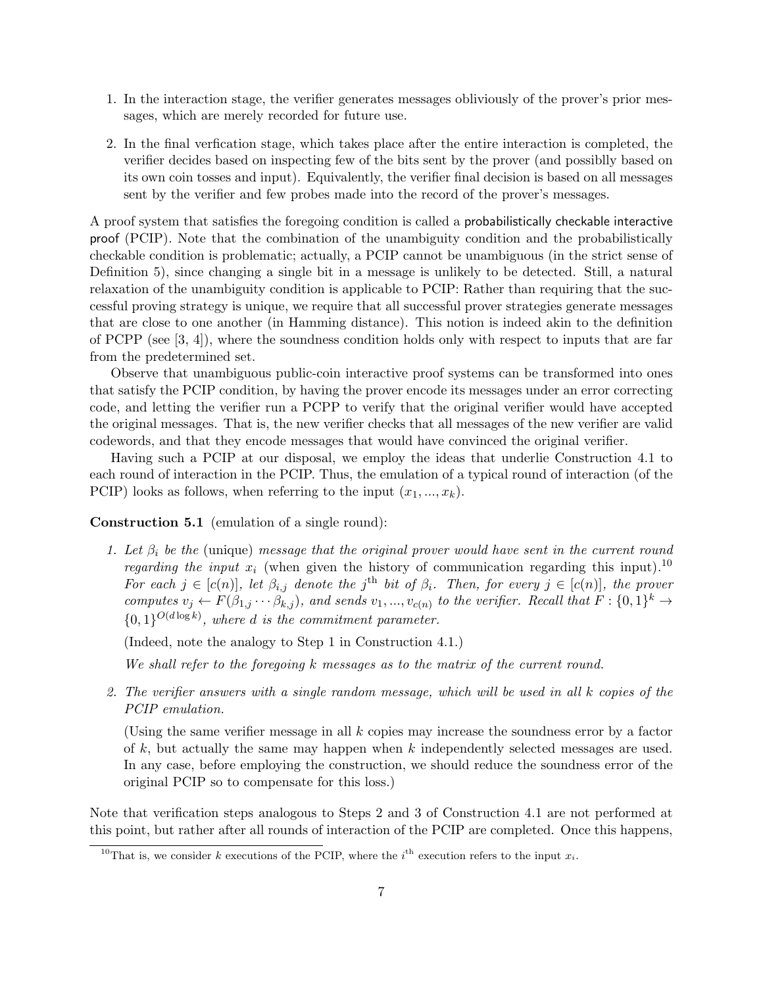- 1. In the interaction stage, the verifier generates messages obliviously of the prover's prior messages, which are merely recorded for future use.
- 2. In the final verfication stage, which takes place after the entire interaction is completed, the verifier decides based on inspecting few of the bits sent by the prover (and possiblly based on its own coin tosses and input). Equivalently, the verifier final decision is based on all messages sent by the verifier and few probes made into the record of the prover's messages.

A proof system that satisfies the foregoing condition is called a probabilistically checkable interactive proof (PCIP). Note that the combination of the unambiguity condition and the probabilistically checkable condition is problematic; actually, a PCIP cannot be unambiguous (in the strict sense of Definition 5), since changing a single bit in a message is unlikely to be detected. Still, a natural relaxation of the unambiguity condition is applicable to PCIP: Rather than requiring that the successful proving strategy is unique, we require that all successful prover strategies generate messages that are close to one another (in Hamming distance). This notion is indeed akin to the definition of PCPP (see  $[3, 4]$ ), where the soundness condition holds only with respect to inputs that are far from the predetermined set.

Observe that unambiguous public-coin interactive proof systems can be transformed into ones that satisfy the PCIP condition, by having the prover encode its messages under an error correcting code, and letting the verifier run a PCPP to verify that the original verifier would have accepted the original messages. That is, the new verifier checks that all messages of the new verifier are valid codewords, and that they encode messages that would have convinced the original verifier.

Having such a PCIP at our disposal, we employ the ideas that underlie Construction 4.1 to each round of interaction in the PCIP. Thus, the emulation of a typical round of interaction (of the PCIP) looks as follows, when referring to the input  $(x_1, ..., x_k)$ .

Construction 5.1 (emulation of a single round):

1. Let  $\beta_i$  be the (unique) message that the original prover would have sent in the current round *regarding the input*  $x_i$  (when given the history of communication regarding this input).<sup>10</sup> For each  $j \in [c(n)]$ , let  $\beta_{i,j}$  denote the j<sup>th</sup> bit of  $\beta_i$ . Then, for every  $j \in [c(n)]$ , the prover computes  $v_j \leftarrow F(\beta_{1,j} \cdots \beta_{k,j})$ , and sends  $v_1, ..., v_{c(n)}$  to the verifier. Recall that  $F: \{0,1\}^k \to$  ${0,1}^{O(d \log k)}$ , where d is the commitment parameter.

(Indeed, note the analogy to Step 1 in Construction 4.1.)

We shall refer to the foregoing k messages as to the matrix of the current round.

2. The verifier answers with a single random message, which will be used in all k copies of the PCIP emulation.

(Using the same verifier message in all  $k$  copies may increase the soundness error by a factor of k, but actually the same may happen when  $k$  independently selected messages are used. In any case, before employing the construction, we should reduce the soundness error of the original PCIP so to compensate for this loss.)

Note that verification steps analogous to Steps 2 and 3 of Construction 4.1 are not performed at this point, but rather after all rounds of interaction of the PCIP are completed. Once this happens,

<sup>&</sup>lt;sup>10</sup>That is, we consider k executions of the PCIP, where the i<sup>th</sup> execution refers to the input  $x_i$ .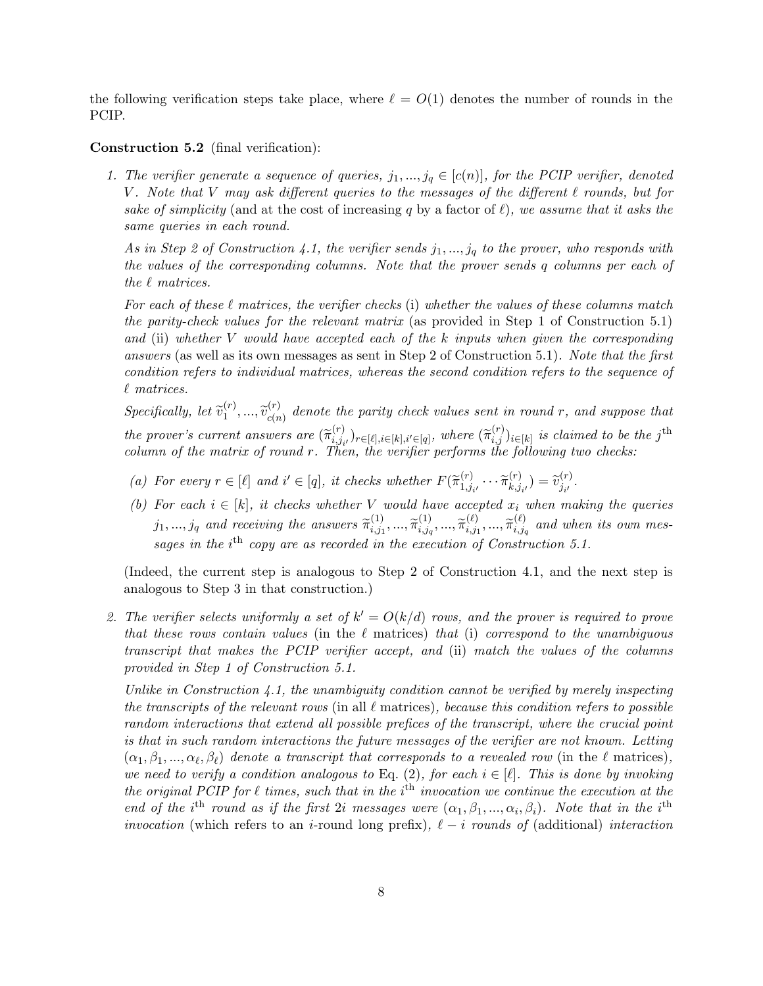the following verification steps take place, where  $\ell = O(1)$  denotes the number of rounds in the PCIP.

#### Construction 5.2 (final verification):

1. The verifier generate a sequence of queries,  $j_1, ..., j_q \in [c(n)]$ , for the PCIP verifier, denoted V. Note that V may ask different queries to the messages of the different  $\ell$  rounds, but for sake of simplicity (and at the cost of increasing q by a factor of  $\ell$ ), we assume that it asks the same queries in each round.

As in Step 2 of Construction 4.1, the verifier sends  $j_1, ..., j_q$  to the prover, who responds with the values of the corresponding columns. Note that the prover sends q columns per each of the  $\ell$  matrices.

For each of these  $\ell$  matrices, the verifier checks (i) whether the values of these columns match the parity-check values for the relevant matrix (as provided in Step 1 of Construction 5.1) and (ii) whether V would have accepted each of the k inputs when given the corresponding answers (as well as its own messages as sent in Step 2 of Construction 5.1). Note that the first condition refers to individual matrices, whereas the second condition refers to the sequence of  $\ell$  matrices.

Specifically, let  $\widetilde{v}_1^{(r)}$  $\widetilde{v}_{c(n)}^{(r)},...,\widetilde{v}_{c(n)}^{(r)}$  $c_{c(n)}^{(r)}$  denote the parity check values sent in round r, and suppose that the prover's current answers are  $(\widetilde{\pi}_{i,j_i}^{(r)})$ <br>column of the matrix of round  $r$ . The  $\widetilde{f}_{i,j_i}^{(r)}$ ,  $r \in [\ell], i \in [k], i' \in [q],$  where  $(\widetilde{\pi}_{i,j}^{(r)})_{i \in [k]}$  is claimed to be the j<sup>th</sup><br>From the verifier performe the following two checks. column of the matrix of round r. Then, the verifier performs the following two checks:

- (a) For every  $r \in [\ell]$  and  $i' \in [q]$ , it checks whether  $F(\widetilde{\pi}_{1,j}^{(r)})$  $\begin{array}{c}\n(r)\\
1,j_{i'}\n\end{array}\n\cdots \widetilde{\pi}_{k,j}^{(r)}$  $\begin{pmatrix} (r) \\ k, j_{i'} \end{pmatrix} = \widetilde{v}_{j_{i'}}^{(r)}$  $\frac{f(T)}{j_{i'}}$ .
- (b) For each  $i \in [k]$ , it checks whether V would have accepted  $x_i$  when making the queries  $j_1, ..., j_q$  and receiving the answers  $\widetilde{\pi}_{i,j_1}^{(1)}$  $\widetilde{\pi}_{i,j_{1}}^{(1)},...,\widetilde{\pi}_{i,j_{q}}^{(1)}$  $\widetilde{\pi}_{i,j_q}^{(1)},...,\widetilde{\pi}_{i,j_1}^{(\ell)}$  $\widetilde{\pi}^{(\ell)}_{i,j_1},...,\widetilde{\pi}^{(\ell)}_{i,j_\ell}$  $\sum_{i,j_q}^{(\ell)}$  and when its own messages in the  $i<sup>th</sup>$  copy are as recorded in the execution of Construction 5.1.

(Indeed, the current step is analogous to Step 2 of Construction 4.1, and the next step is analogous to Step 3 in that construction.)

2. The verifier selects uniformly a set of  $k' = O(k/d)$  rows, and the prover is required to prove that these rows contain values (in the  $\ell$  matrices) that (i) correspond to the unambiguous transcript that makes the PCIP verifier accept, and (ii) match the values of the columns provided in Step 1 of Construction 5.1.

Unlike in Construction 4.1, the unambiguity condition cannot be verified by merely inspecting the transcripts of the relevant rows (in all  $\ell$  matrices), because this condition refers to possible random interactions that extend all possible prefices of the transcript, where the crucial point is that in such random interactions the future messages of the verifier are not known. Letting  $(\alpha_1, \beta_1, ..., \alpha_\ell, \beta_\ell)$  denote a transcript that corresponds to a revealed row (in the  $\ell$  matrices), we need to verify a condition analogous to Eq. (2), for each  $i \in [\ell]$ . This is done by invoking the original PCIP for  $\ell$  times, such that in the i<sup>th</sup> invocation we continue the execution at the end of the i<sup>th</sup> round as if the first 2i messages were  $(\alpha_1, \beta_1, ..., \alpha_i, \beta_i)$ . Note that in the i<sup>th</sup> invocation (which refers to an i-round long prefix),  $\ell - i$  rounds of (additional) interaction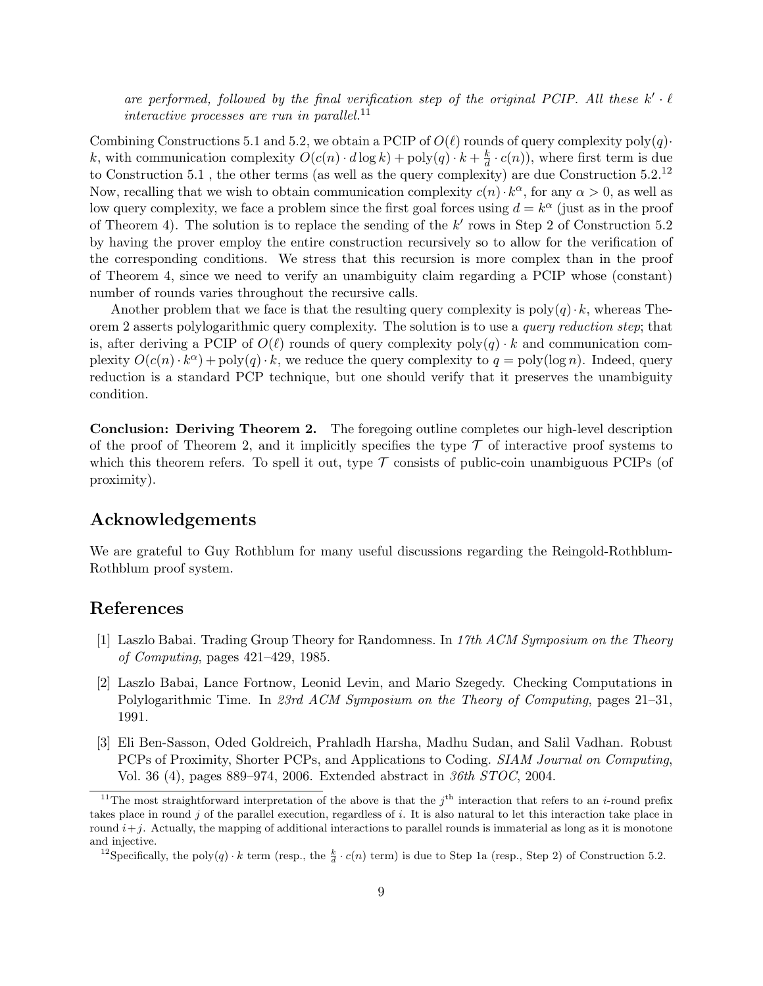are performed, followed by the final verification step of the original PCIP. All these  $k' \cdot \ell$ interactive processes are run in parallel.<sup>11</sup>

Combining Constructions 5.1 and 5.2, we obtain a PCIP of  $O(\ell)$  rounds of query complexity  $poly(q)$ · k, with communication complexity  $O(c(n) \cdot d \log k) + \text{poly}(q) \cdot k + \frac{k}{d}$  $\frac{k}{d} \cdot c(n)$ , where first term is due to Construction 5.1, the other terms (as well as the query complexity) are due Construction  $5.2^{12}$ Now, recalling that we wish to obtain communication complexity  $c(n) \cdot k^{\alpha}$ , for any  $\alpha > 0$ , as well as low query complexity, we face a problem since the first goal forces using  $d = k^{\alpha}$  (just as in the proof of Theorem 4). The solution is to replace the sending of the  $k'$  rows in Step 2 of Construction 5.2 by having the prover employ the entire construction recursively so to allow for the verification of the corresponding conditions. We stress that this recursion is more complex than in the proof of Theorem 4, since we need to verify an unambiguity claim regarding a PCIP whose (constant) number of rounds varies throughout the recursive calls.

Another problem that we face is that the resulting query complexity is  $poly(q) \cdot k$ , whereas Theorem 2 asserts polylogarithmic query complexity. The solution is to use a query reduction step; that is, after deriving a PCIP of  $O(\ell)$  rounds of query complexity  $poly(q) \cdot k$  and communication complexity  $O(c(n) \cdot k^{\alpha}) + \text{poly}(q) \cdot k$ , we reduce the query complexity to  $q = \text{poly}(\log n)$ . Indeed, query reduction is a standard PCP technique, but one should verify that it preserves the unambiguity condition.

Conclusion: Deriving Theorem 2. The foregoing outline completes our high-level description of the proof of Theorem 2, and it implicitly specifies the type  $\mathcal T$  of interactive proof systems to which this theorem refers. To spell it out, type  $\mathcal T$  consists of public-coin unambiguous PCIPs (of proximity).

### Acknowledgements

We are grateful to Guy Rothblum for many useful discussions regarding the Reingold-Rothblum-Rothblum proof system.

## References

- [1] Laszlo Babai. Trading Group Theory for Randomness. In 17th ACM Symposium on the Theory of Computing, pages 421–429, 1985.
- [2] Laszlo Babai, Lance Fortnow, Leonid Levin, and Mario Szegedy. Checking Computations in Polylogarithmic Time. In 23rd ACM Symposium on the Theory of Computing, pages 21–31, 1991.
- [3] Eli Ben-Sasson, Oded Goldreich, Prahladh Harsha, Madhu Sudan, and Salil Vadhan. Robust PCPs of Proximity, Shorter PCPs, and Applications to Coding. SIAM Journal on Computing, Vol. 36 (4), pages 889–974, 2006. Extended abstract in 36th STOC, 2004.

<sup>&</sup>lt;sup>11</sup>The most straightforward interpretation of the above is that the  $j<sup>th</sup>$  interaction that refers to an *i*-round prefix takes place in round  $j$  of the parallel execution, regardless of  $i$ . It is also natural to let this interaction take place in round  $i+j$ . Actually, the mapping of additional interactions to parallel rounds is immaterial as long as it is monotone and injective.

<sup>&</sup>lt;sup>12</sup>Specifically, the poly $(q) \cdot k$  term (resp., the  $\frac{k}{d} \cdot c(n)$  term) is due to Step 1a (resp., Step 2) of Construction 5.2.